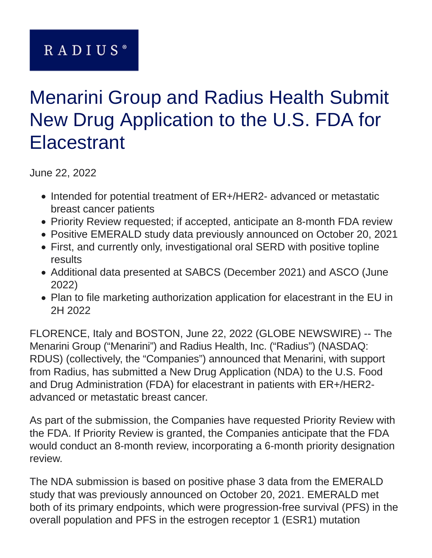# RADIUS<sup>®</sup>

# Menarini Group and Radius Health Submit New Drug Application to the U.S. FDA for Elacestrant

June 22, 2022

- Intended for potential treatment of ER+/HER2- advanced or metastatic breast cancer patients
- Priority Review requested; if accepted, anticipate an 8-month FDA review
- Positive EMERALD study data previously announced on October 20, 2021
- First, and currently only, investigational oral SERD with positive topline results
- Additional data presented at SABCS (December 2021) and ASCO (June 2022)
- Plan to file marketing authorization application for elacestrant in the EU in 2H 2022

FLORENCE, Italy and BOSTON, June 22, 2022 (GLOBE NEWSWIRE) -- The Menarini Group ("Menarini") and Radius Health, Inc. ("Radius") (NASDAQ: RDUS) (collectively, the "Companies") announced that Menarini, with support from Radius, has submitted a New Drug Application (NDA) to the U.S. Food and Drug Administration (FDA) for elacestrant in patients with ER+/HER2 advanced or metastatic breast cancer.

As part of the submission, the Companies have requested Priority Review with the FDA. If Priority Review is granted, the Companies anticipate that the FDA would conduct an 8-month review, incorporating a 6-month priority designation review.

The NDA submission is based on positive phase 3 data from the EMERALD study that was previously announced on October 20, 2021. EMERALD met both of its primary endpoints, which were progression-free survival (PFS) in the overall population and PFS in the estrogen receptor 1 (ESR1) mutation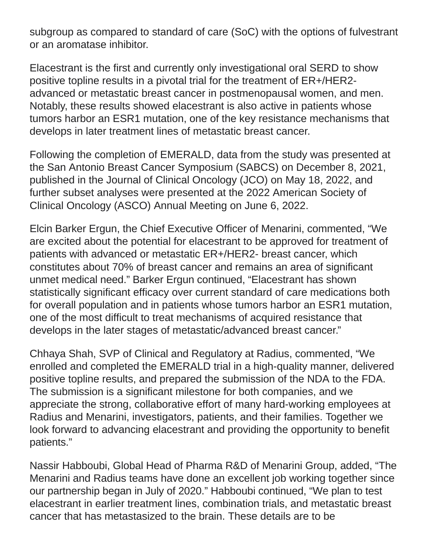subgroup as compared to standard of care (SoC) with the options of fulvestrant or an aromatase inhibitor.

Elacestrant is the first and currently only investigational oral SERD to show positive topline results in a pivotal trial for the treatment of ER+/HER2 advanced or metastatic breast cancer in postmenopausal women, and men. Notably, these results showed elacestrant is also active in patients whose tumors harbor an ESR1 mutation, one of the key resistance mechanisms that develops in later treatment lines of metastatic breast cancer.

Following the completion of EMERALD, data from the study was presented at the San Antonio Breast Cancer Symposium (SABCS) on December 8, 2021, published in the Journal of Clinical Oncology (JCO) on May 18, 2022, and further subset analyses were presented at the 2022 American Society of Clinical Oncology (ASCO) Annual Meeting on June 6, 2022.

Elcin Barker Ergun, the Chief Executive Officer of Menarini, commented, "We are excited about the potential for elacestrant to be approved for treatment of patients with advanced or metastatic ER+/HER2- breast cancer, which constitutes about 70% of breast cancer and remains an area of significant unmet medical need." Barker Ergun continued, "Elacestrant has shown statistically significant efficacy over current standard of care medications both for overall population and in patients whose tumors harbor an ESR1 mutation, one of the most difficult to treat mechanisms of acquired resistance that develops in the later stages of metastatic/advanced breast cancer."

Chhaya Shah, SVP of Clinical and Regulatory at Radius, commented, "We enrolled and completed the EMERALD trial in a high-quality manner, delivered positive topline results, and prepared the submission of the NDA to the FDA. The submission is a significant milestone for both companies, and we appreciate the strong, collaborative effort of many hard-working employees at Radius and Menarini, investigators, patients, and their families. Together we look forward to advancing elacestrant and providing the opportunity to benefit patients."

Nassir Habboubi, Global Head of Pharma R&D of Menarini Group, added, "The Menarini and Radius teams have done an excellent job working together since our partnership began in July of 2020." Habboubi continued, "We plan to test elacestrant in earlier treatment lines, combination trials, and metastatic breast cancer that has metastasized to the brain. These details are to be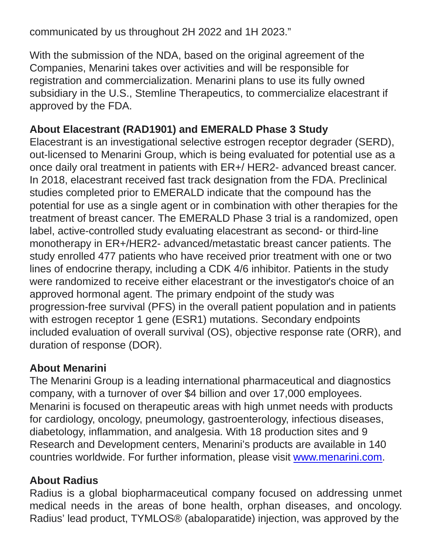communicated by us throughout 2H 2022 and 1H 2023."

With the submission of the NDA, based on the original agreement of the Companies, Menarini takes over activities and will be responsible for registration and commercialization. Menarini plans to use its fully owned subsidiary in the U.S., Stemline Therapeutics, to commercialize elacestrant if approved by the FDA.

## **About Elacestrant (RAD1901) and EMERALD Phase 3 Study**

Elacestrant is an investigational selective estrogen receptor degrader (SERD), out-licensed to Menarini Group, which is being evaluated for potential use as a once daily oral treatment in patients with ER+/ HER2- advanced breast cancer. In 2018, elacestrant received fast track designation from the FDA. Preclinical studies completed prior to EMERALD indicate that the compound has the potential for use as a single agent or in combination with other therapies for the treatment of breast cancer. The EMERALD Phase 3 trial is a randomized, open label, active-controlled study evaluating elacestrant as second- or third-line monotherapy in ER+/HER2- advanced/metastatic breast cancer patients. The study enrolled 477 patients who have received prior treatment with one or two lines of endocrine therapy, including a CDK 4/6 inhibitor. Patients in the study were randomized to receive either elacestrant or the investigator's choice of an approved hormonal agent. The primary endpoint of the study was progression-free survival (PFS) in the overall patient population and in patients with estrogen receptor 1 gene (ESR1) mutations. Secondary endpoints included evaluation of overall survival (OS), objective response rate (ORR), and duration of response (DOR).

## **About Menarini**

The Menarini Group is a leading international pharmaceutical and diagnostics company, with a turnover of over \$4 billion and over 17,000 employees. Menarini is focused on therapeutic areas with high unmet needs with products for cardiology, oncology, pneumology, gastroenterology, infectious diseases, diabetology, inflammation, and analgesia. With 18 production sites and 9 Research and Development centers, Menarini's products are available in 140 countries worldwide. For further information, please visit [www.menarini.com.](https://www.globenewswire.com/Tracker?data=Qu3KxDi0hRFj0UVkc7BattD7AQJjGx-X5t8s6YWm7tgud3y0TGAWzwqEeKYGhvyBUaw2hIS7TuagR30kQ7VKWw==)

#### **About Radius**

Radius is a global biopharmaceutical company focused on addressing unmet medical needs in the areas of bone health, orphan diseases, and oncology. Radius' lead product, TYMLOS® (abaloparatide) injection, was approved by the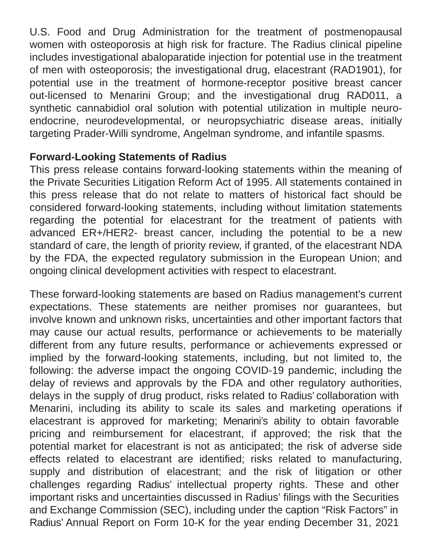U.S. Food and Drug Administration for the treatment of postmenopausal women with osteoporosis at high risk for fracture. The Radius clinical pipeline includes investigational abaloparatide injection for potential use in the treatment of men with osteoporosis; the investigational drug, elacestrant (RAD1901), for potential use in the treatment of hormone-receptor positive breast cancer out-licensed to Menarini Group; and the investigational drug RAD011, a synthetic cannabidiol oral solution with potential utilization in multiple neuroendocrine, neurodevelopmental, or neuropsychiatric disease areas, initially targeting Prader-Willi syndrome, Angelman syndrome, and infantile spasms.

#### **Forward-Looking Statements of Radius**

This press release contains forward-looking statements within the meaning of the Private Securities Litigation Reform Act of 1995. All statements contained in this press release that do not relate to matters of historical fact should be considered forward-looking statements, including without limitation statements regarding the potential for elacestrant for the treatment of patients with advanced ER+/HER2- breast cancer, including the potential to be a new standard of care, the length of priority review, if granted, of the elacestrant NDA by the FDA, the expected regulatory submission in the European Union; and ongoing clinical development activities with respect to elacestrant.

These forward-looking statements are based on Radius management's current expectations. These statements are neither promises nor guarantees, but involve known and unknown risks, uncertainties and other important factors that may cause our actual results, performance or achievements to be materially different from any future results, performance or achievements expressed or implied by the forward-looking statements, including, but not limited to, the following: the adverse impact the ongoing COVID-19 pandemic, including the delay of reviews and approvals by the FDA and other regulatory authorities, delays in the supply of drug product, risks related to Radius' collaboration with Menarini, including its ability to scale its sales and marketing operations if elacestrant is approved for marketing; Menarini's ability to obtain favorable pricing and reimbursement for elacestrant, if approved; the risk that the potential market for elacestrant is not as anticipated; the risk of adverse side effects related to elacestrant are identified; risks related to manufacturing, supply and distribution of elacestrant; and the risk of litigation or other challenges regarding Radius' intellectual property rights. These and other important risks and uncertainties discussed in Radius' filings with the Securities and Exchange Commission (SEC), including under the caption "Risk Factors" in Radius' Annual Report on Form 10-K for the year ending December 31, 2021